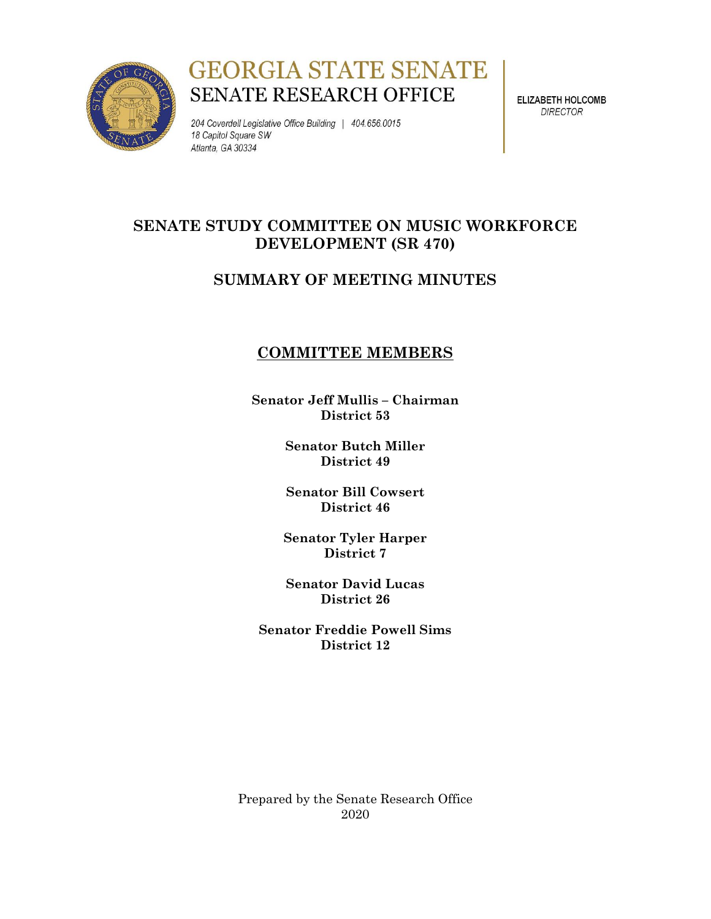

# **GEORGIA STATE SENATE** SENATE RESEARCH OFFICE

204 Coverdell Legislative Office Building | 404.656.0015 18 Capitol Square SW Atlanta, GA 30334

**ELIZABETH HOLCOMB DIRECTOR** 

## **SENATE STUDY COMMITTEE ON MUSIC WORKFORCE DEVELOPMENT (SR 470)**

### **SUMMARY OF MEETING MINUTES**

### **COMMITTEE MEMBERS**

**Senator Jeff Mullis – Chairman District 53**

> **Senator Butch Miller District 49**

> **Senator Bill Cowsert District 46**

**Senator Tyler Harper District 7**

**Senator David Lucas District 26**

**Senator Freddie Powell Sims District 12**

Prepared by the Senate Research Office 2020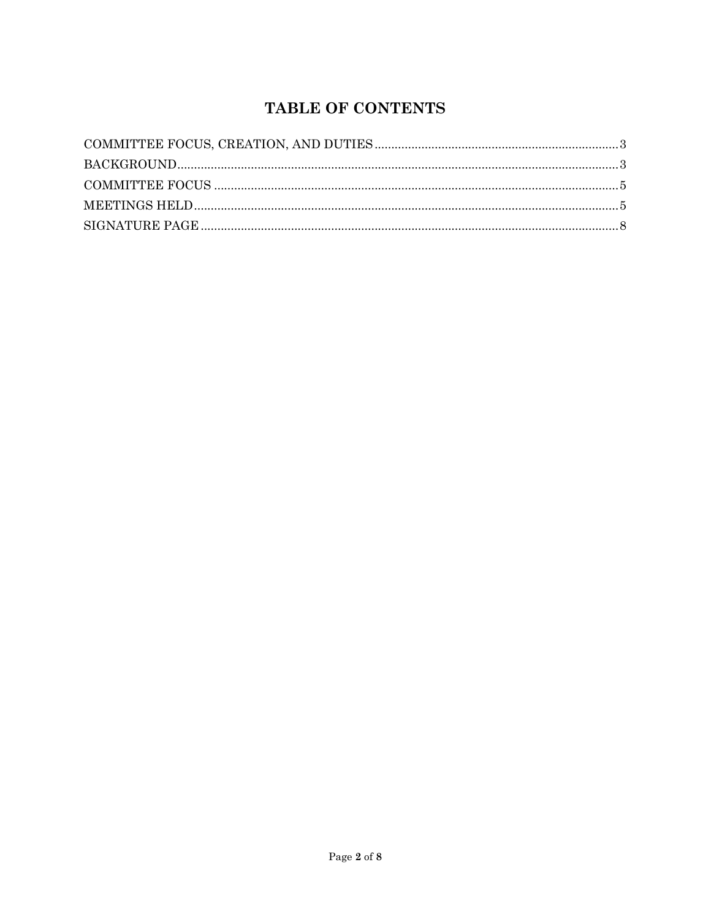## **TABLE OF CONTENTS**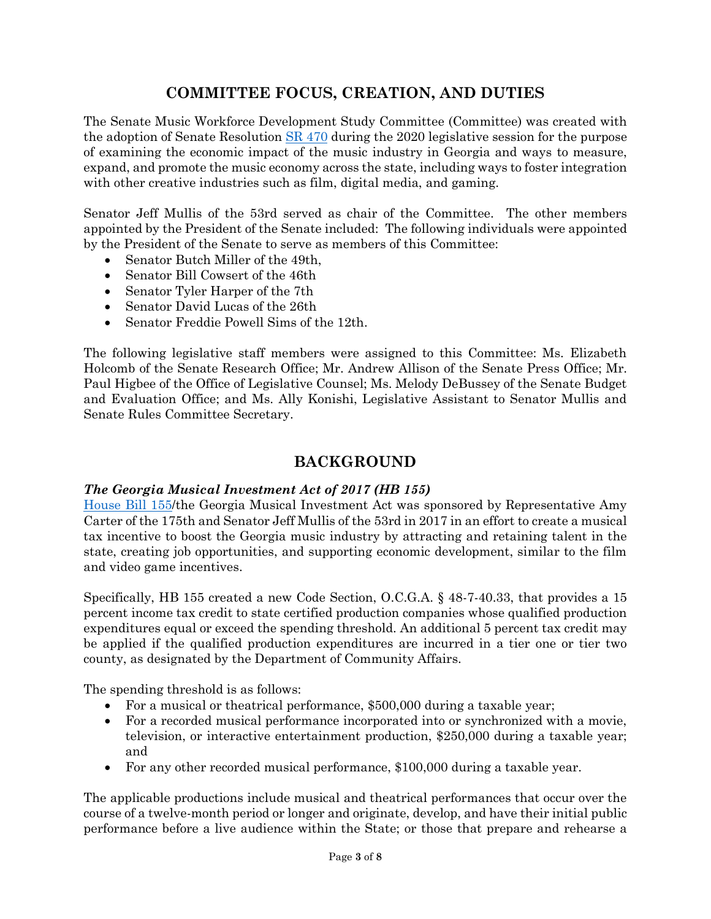### **COMMITTEE FOCUS, CREATION, AND DUTIES**

<span id="page-2-0"></span>The Senate Music Workforce Development Study Committee (Committee) was created with the adoption of Senate Resolution [SR 470](https://www.legis.ga.gov/legislation/56294) during the 2020 legislative session for the purpose of examining the economic impact of the music industry in Georgia and ways to measure, expand, and promote the music economy across the state, including ways to foster integration with other creative industries such as film, digital media, and gaming.

Senator Jeff Mullis of the 53rd served as chair of the Committee. The other members appointed by the President of the Senate included: The following individuals were appointed by the President of the Senate to serve as members of this Committee:

- Senator Butch Miller of the 49th,
- Senator Bill Cowsert of the 46th
- Senator Tyler Harper of the 7th
- Senator David Lucas of the 26th
- Senator Freddie Powell Sims of the 12th.

The following legislative staff members were assigned to this Committee: Ms. Elizabeth Holcomb of the Senate Research Office; Mr. Andrew Allison of the Senate Press Office; Mr. Paul Higbee of the Office of Legislative Counsel; Ms. Melody DeBussey of the Senate Budget and Evaluation Office; and Ms. Ally Konishi, Legislative Assistant to Senator Mullis and Senate Rules Committee Secretary.

#### **BACKGROUND**

#### <span id="page-2-1"></span>*The Georgia Musical Investment Act of 2017 (HB 155)*

[House Bill 155/](http://www.legis.ga.gov/Legislation/en-US/display/20172018/HB/155)the Georgia Musical Investment Act was sponsored by Representative Amy Carter of the 175th and Senator Jeff Mullis of the 53rd in 2017 in an effort to create a musical tax incentive to boost the Georgia music industry by attracting and retaining talent in the state, creating job opportunities, and supporting economic development, similar to the film and video game incentives.

Specifically, HB 155 created a new Code Section, O.C.G.A. § 48-7-40.33, that provides a 15 percent income tax credit to state certified production companies whose qualified production expenditures equal or exceed the spending threshold. An additional 5 percent tax credit may be applied if the qualified production expenditures are incurred in a tier one or tier two county, as designated by the Department of Community Affairs.

The spending threshold is as follows:

- For a musical or theatrical performance, \$500,000 during a taxable year;
- For a recorded musical performance incorporated into or synchronized with a movie, television, or interactive entertainment production, \$250,000 during a taxable year; and
- For any other recorded musical performance, \$100,000 during a taxable year.

The applicable productions include musical and theatrical performances that occur over the course of a twelve-month period or longer and originate, develop, and have their initial public performance before a live audience within the State; or those that prepare and rehearse a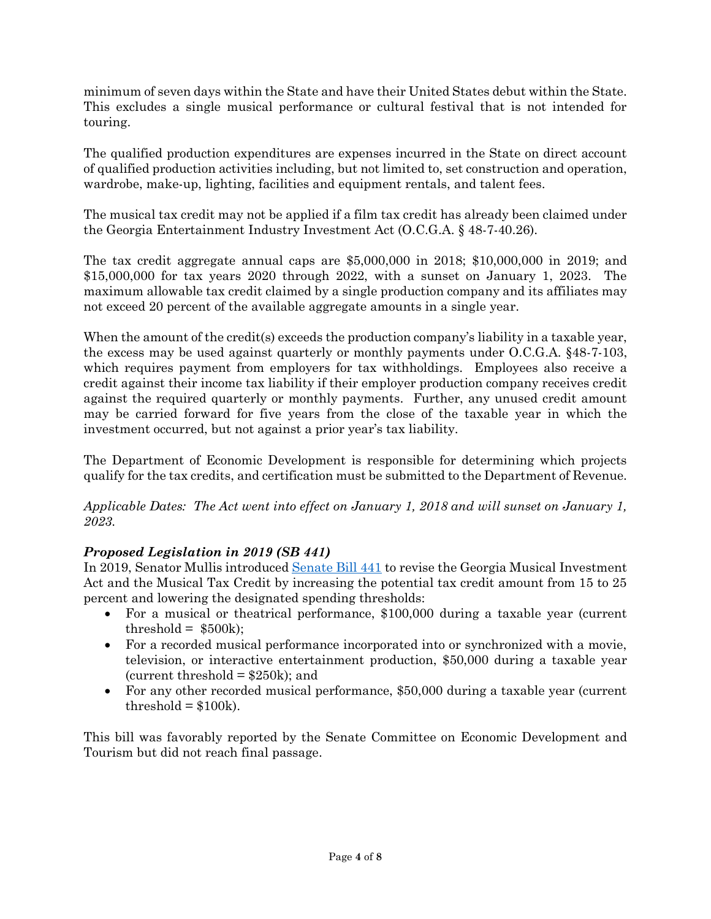minimum of seven days within the State and have their United States debut within the State. This excludes a single musical performance or cultural festival that is not intended for touring.

The qualified production expenditures are expenses incurred in the State on direct account of qualified production activities including, but not limited to, set construction and operation, wardrobe, make-up, lighting, facilities and equipment rentals, and talent fees.

The musical tax credit may not be applied if a film tax credit has already been claimed under the Georgia Entertainment Industry Investment Act (O.C.G.A. § 48-7-40.26).

The tax credit aggregate annual caps are \$5,000,000 in 2018; \$10,000,000 in 2019; and \$15,000,000 for tax years 2020 through 2022, with a sunset on January 1, 2023. The maximum allowable tax credit claimed by a single production company and its affiliates may not exceed 20 percent of the available aggregate amounts in a single year.

When the amount of the credit(s) exceeds the production company's liability in a taxable year, the excess may be used against quarterly or monthly payments under O.C.G.A. §48-7-103, which requires payment from employers for tax withholdings. Employees also receive a credit against their income tax liability if their employer production company receives credit against the required quarterly or monthly payments. Further, any unused credit amount may be carried forward for five years from the close of the taxable year in which the investment occurred, but not against a prior year's tax liability.

The Department of Economic Development is responsible for determining which projects qualify for the tax credits, and certification must be submitted to the Department of Revenue.

*Applicable Dates: The Act went into effect on January 1, 2018 and will sunset on January 1, 2023.*

### *Proposed Legislation in 2019 (SB 441)*

In 2019, Senator Mullis introduced [Senate Bill 441](http://www.legis.ga.gov/legislation/en-US/Display/20192020/SB/441) to revise the Georgia Musical Investment Act and the Musical Tax Credit by increasing the potential tax credit amount from 15 to 25 percent and lowering the designated spending thresholds:

- For a musical or theatrical performance, \$100,000 during a taxable year (current threshold =  $$500k$ ;
- For a recorded musical performance incorporated into or synchronized with a movie, television, or interactive entertainment production, \$50,000 during a taxable year (current threshold  $= $250k$ ); and
- For any other recorded musical performance, \$50,000 during a taxable year (current threshold  $= $100k$ .

This bill was favorably reported by the Senate Committee on Economic Development and Tourism but did not reach final passage.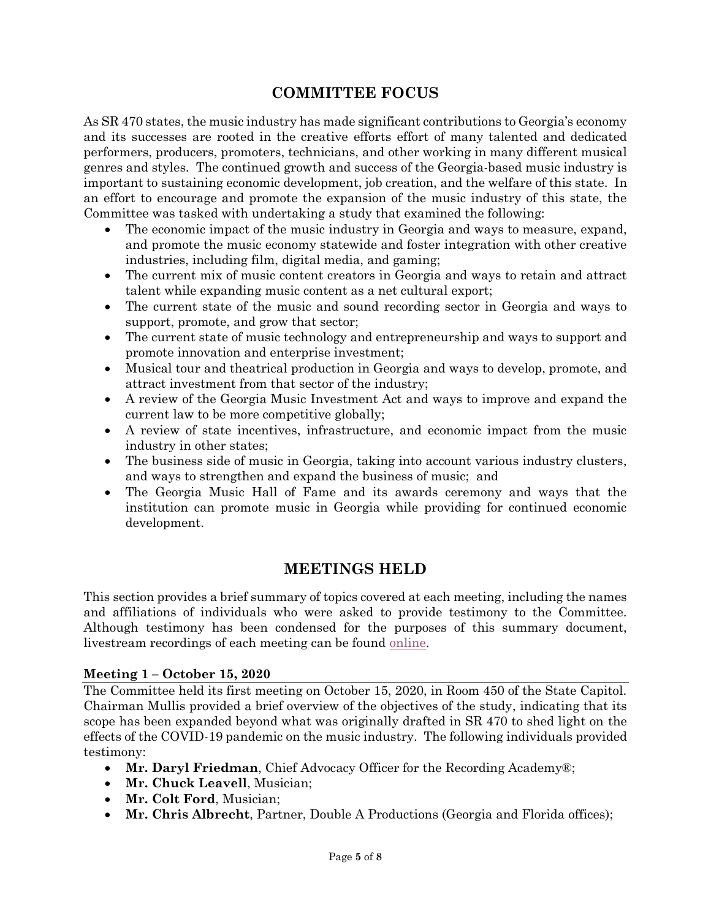### **COMMITTEE FOCUS**

<span id="page-4-0"></span>As SR 470 states, the music industry has made significant contributions to Georgia's economy and its successes are rooted in the creative efforts effort of many talented and dedicated performers, producers, promoters, technicians, and other working in many different musical genres and styles. The continued growth and success of the Georgia-based music industry is important to sustaining economic development, job creation, and the welfare of this state. In an effort to encourage and promote the expansion of the music industry of this state, the Committee was tasked with undertaking a study that examined the following:

- The economic impact of the music industry in Georgia and ways to measure, expand, and promote the music economy statewide and foster integration with other creative industries, including film, digital media, and gaming;
- The current mix of music content creators in Georgia and ways to retain and attract talent while expanding music content as a net cultural export;
- The current state of the music and sound recording sector in Georgia and ways to support, promote, and grow that sector;
- The current state of music technology and entrepreneurship and ways to support and promote innovation and enterprise investment;
- Musical tour and theatrical production in Georgia and ways to develop, promote, and attract investment from that sector of the industry;
- A review of the Georgia Music Investment Act and ways to improve and expand the current law to be more competitive globally;
- A review of state incentives, infrastructure, and economic impact from the music industry in other states;
- The business side of music in Georgia, taking into account various industry clusters, and ways to strengthen and expand the business of music; and
- The Georgia Music Hall of Fame and its awards ceremony and ways that the institution can promote music in Georgia while providing for continued economic development.

### **MEETINGS HELD**

<span id="page-4-1"></span>This section provides a brief summary of topics covered at each meeting, including the names and affiliations of individuals who were asked to provide testimony to the Committee. Although testimony has been condensed for the purposes of this summary document, livestream recordings of each meeting can be found [online.](https://livestream.com/accounts/26021522)

#### **Meeting 1 – October 15, 2020**

The Committee held its first meeting on October 15, 2020, in Room 450 of the State Capitol. Chairman Mullis provided a brief overview of the objectives of the study, indicating that its scope has been expanded beyond what was originally drafted in SR 470 to shed light on the effects of the COVID-19 pandemic on the music industry. The following individuals provided testimony:

- **Mr. Daryl Friedman**, Chief Advocacy Officer for the Recording Academy®;
- **Mr. Chuck Leavell**, Musician;
- **Mr. Colt Ford**, Musician;
- **Mr. Chris Albrecht**, Partner, Double A Productions (Georgia and Florida offices);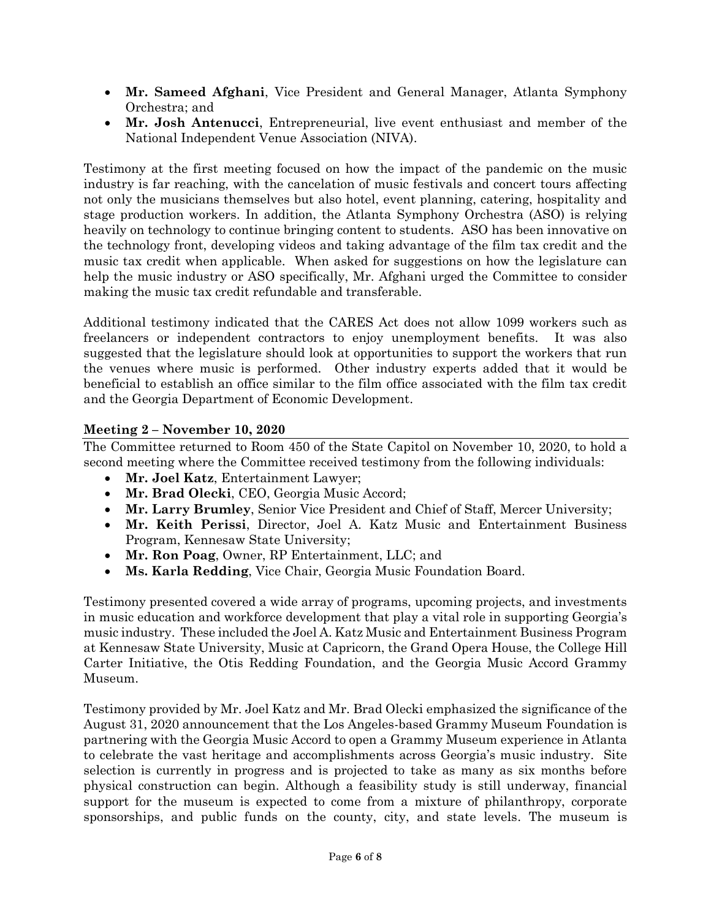- **Mr. Sameed Afghani**, Vice President and General Manager, Atlanta Symphony Orchestra; and
- **Mr. Josh Antenucci**, Entrepreneurial, live event enthusiast and member of the National Independent Venue Association (NIVA).

Testimony at the first meeting focused on how the impact of the pandemic on the music industry is far reaching, with the cancelation of music festivals and concert tours affecting not only the musicians themselves but also hotel, event planning, catering, hospitality and stage production workers. In addition, the Atlanta Symphony Orchestra (ASO) is relying heavily on technology to continue bringing content to students. ASO has been innovative on the technology front, developing videos and taking advantage of the film tax credit and the music tax credit when applicable. When asked for suggestions on how the legislature can help the music industry or ASO specifically, Mr. Afghani urged the Committee to consider making the music tax credit refundable and transferable.

Additional testimony indicated that the CARES Act does not allow 1099 workers such as freelancers or independent contractors to enjoy unemployment benefits. It was also suggested that the legislature should look at opportunities to support the workers that run the venues where music is performed. Other industry experts added that it would be beneficial to establish an office similar to the film office associated with the film tax credit and the Georgia Department of Economic Development.

#### **Meeting 2 – November 10, 2020**

The Committee returned to Room 450 of the State Capitol on November 10, 2020, to hold a second meeting where the Committee received testimony from the following individuals:

- **Mr. Joel Katz**, Entertainment Lawyer;
- **Mr. Brad Olecki**, CEO, Georgia Music Accord;
- **Mr. Larry Brumley**, Senior Vice President and Chief of Staff, Mercer University;
- **Mr. Keith Perissi**, Director, Joel A. Katz Music and Entertainment Business Program, Kennesaw State University;
- **Mr. Ron Poag**, Owner, RP Entertainment, LLC; and
- **Ms. Karla Redding**, Vice Chair, Georgia Music Foundation Board.

Testimony presented covered a wide array of programs, upcoming projects, and investments in music education and workforce development that play a vital role in supporting Georgia's music industry. These included the Joel A. Katz Music and Entertainment Business Program at Kennesaw State University, Music at Capricorn, the Grand Opera House, the College Hill Carter Initiative, the Otis Redding Foundation, and the Georgia Music Accord Grammy Museum.

Testimony provided by Mr. Joel Katz and Mr. Brad Olecki emphasized the significance of the August 31, 2020 announcement that the Los Angeles-based Grammy Museum Foundation is partnering with the Georgia Music Accord to open a Grammy Museum experience in Atlanta to celebrate the vast heritage and accomplishments across Georgia's music industry. Site selection is currently in progress and is projected to take as many as six months before physical construction can begin. Although a feasibility study is still underway, financial support for the museum is expected to come from a mixture of philanthropy, corporate sponsorships, and public funds on the county, city, and state levels. The museum is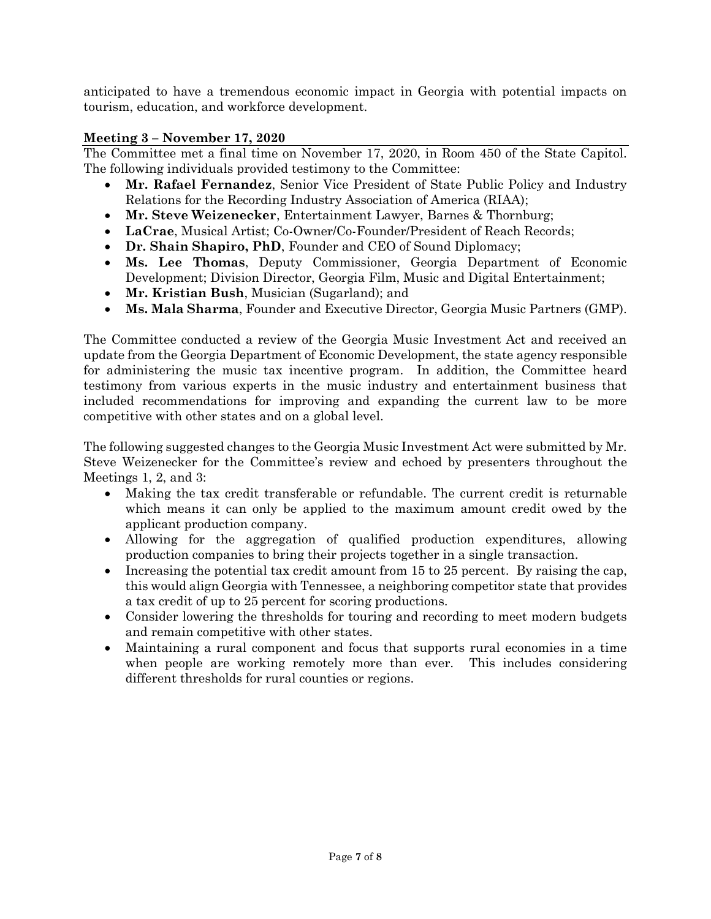anticipated to have a tremendous economic impact in Georgia with potential impacts on tourism, education, and workforce development.

#### **Meeting 3 – November 17, 2020**

The Committee met a final time on November 17, 2020, in Room 450 of the State Capitol. The following individuals provided testimony to the Committee:

- **Mr. Rafael Fernandez**, Senior Vice President of State Public Policy and Industry Relations for the Recording Industry Association of America (RIAA);
- **Mr. Steve Weizenecker**, Entertainment Lawyer, Barnes & Thornburg;
- **LaCrae**, Musical Artist; Co-Owner/Co-Founder/President of Reach Records;
- **Dr. Shain Shapiro, PhD**, Founder and CEO of Sound Diplomacy;
- **Ms. Lee Thomas**, Deputy Commissioner, Georgia Department of Economic Development; Division Director, Georgia Film, Music and Digital Entertainment;
- **Mr. Kristian Bush**, Musician (Sugarland); and
- **Ms. Mala Sharma**, Founder and Executive Director, Georgia Music Partners (GMP).

The Committee conducted a review of the Georgia Music Investment Act and received an update from the Georgia Department of Economic Development, the state agency responsible for administering the music tax incentive program. In addition, the Committee heard testimony from various experts in the music industry and entertainment business that included recommendations for improving and expanding the current law to be more competitive with other states and on a global level.

The following suggested changes to the Georgia Music Investment Act were submitted by Mr. Steve Weizenecker for the Committee's review and echoed by presenters throughout the Meetings 1, 2, and 3:

- Making the tax credit transferable or refundable. The current credit is returnable which means it can only be applied to the maximum amount credit owed by the applicant production company.
- Allowing for the aggregation of qualified production expenditures, allowing production companies to bring their projects together in a single transaction.
- Increasing the potential tax credit amount from 15 to 25 percent. By raising the cap, this would align Georgia with Tennessee, a neighboring competitor state that provides a tax credit of up to 25 percent for scoring productions.
- Consider lowering the thresholds for touring and recording to meet modern budgets and remain competitive with other states.
- <span id="page-6-0"></span> Maintaining a rural component and focus that supports rural economies in a time when people are working remotely more than ever. This includes considering different thresholds for rural counties or regions.